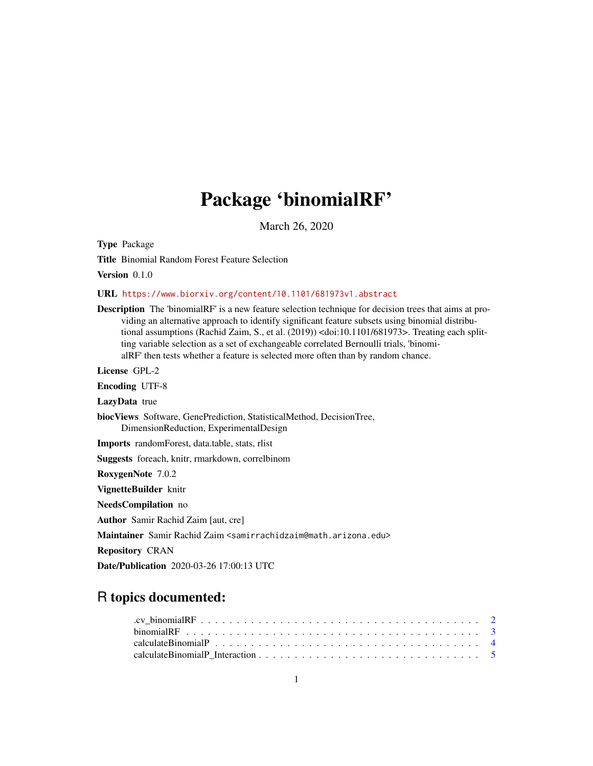## Package 'binomialRF'

March 26, 2020

Type Package

Title Binomial Random Forest Feature Selection

Version 0.1.0

#### URL <https://www.biorxiv.org/content/10.1101/681973v1.abstract>

Description The 'binomialRF' is a new feature selection technique for decision trees that aims at providing an alternative approach to identify significant feature subsets using binomial distributional assumptions (Rachid Zaim, S., et al. (2019)) <doi:10.1101/681973>. Treating each splitting variable selection as a set of exchangeable correlated Bernoulli trials, 'binomialRF' then tests whether a feature is selected more often than by random chance. License GPL-2

Encoding UTF-8

LazyData true

biocViews Software, GenePrediction, StatisticalMethod, DecisionTree, DimensionReduction, ExperimentalDesign

Imports randomForest, data.table, stats, rlist

Suggests foreach, knitr, rmarkdown, correlbinom

RoxygenNote 7.0.2

VignetteBuilder knitr

NeedsCompilation no

Author Samir Rachid Zaim [aut, cre]

Maintainer Samir Rachid Zaim <samirrachidzaim@math.arizona.edu>

Repository CRAN

Date/Publication 2020-03-26 17:00:13 UTC

### R topics documented: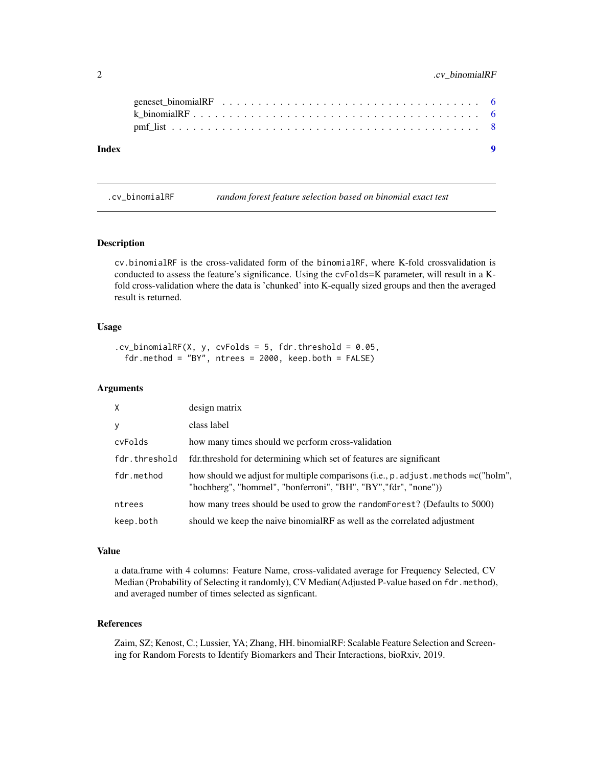#### <span id="page-1-0"></span>2 .cv\_binomialRF

| Index |  |
|-------|--|
|       |  |
|       |  |
|       |  |

.cv\_binomialRF *random forest feature selection based on binomial exact test*

#### Description

cv.binomialRF is the cross-validated form of the binomialRF, where K-fold crossvalidation is conducted to assess the feature's significance. Using the cvFolds=K parameter, will result in a Kfold cross-validation where the data is 'chunked' into K-equally sized groups and then the averaged result is returned.

#### Usage

```
cv\_binomialRF(X, y, cvFolds = 5, fdr.threshold = 0.05,fdr.method = "BY", ntrees = 2000, keep.both = FALSE)
```
#### Arguments

| X             | design matrix                                                                                                                                          |
|---------------|--------------------------------------------------------------------------------------------------------------------------------------------------------|
| y             | class label                                                                                                                                            |
| cvFolds       | how many times should we perform cross-validation                                                                                                      |
| fdr.threshold | fdr.threshold for determining which set of features are significant                                                                                    |
| fdr.method    | how should we adjust for multiple comparisons (i.e., p. adjust. methods = c("holm",<br>"hochberg", "hommel", "bonferroni", "BH", "BY", "fdr", "none")) |
| ntrees        | how many trees should be used to grow the random Forest? (Defaults to 5000)                                                                            |
| keep.both     | should we keep the naive binomialRF as well as the correlated adjustment                                                                               |

#### Value

a data.frame with 4 columns: Feature Name, cross-validated average for Frequency Selected, CV Median (Probability of Selecting it randomly), CV Median (Adjusted P-value based on fdr.method), and averaged number of times selected as signficant.

#### References

Zaim, SZ; Kenost, C.; Lussier, YA; Zhang, HH. binomialRF: Scalable Feature Selection and Screening for Random Forests to Identify Biomarkers and Their Interactions, bioRxiv, 2019.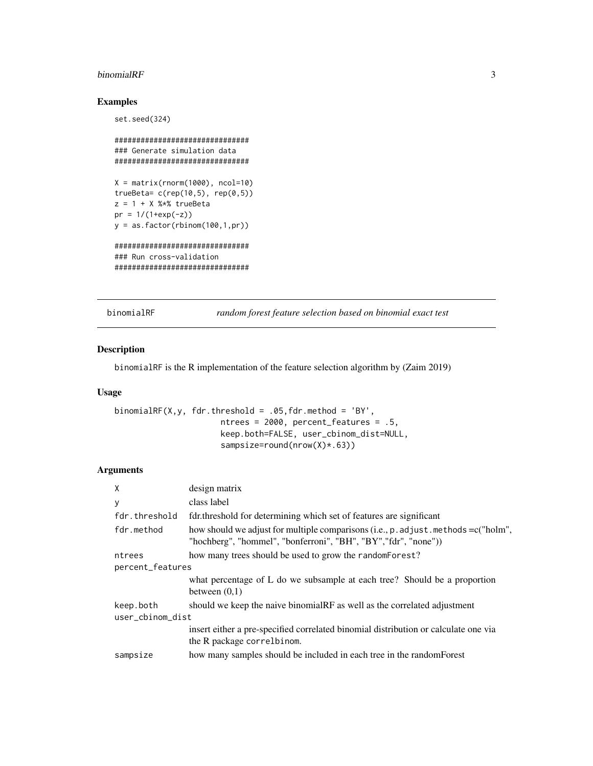#### <span id="page-2-0"></span>binomialRF 3

#### Examples

```
set.seed(324)
```

```
###############################
### Generate simulation data
###############################
X = matrix(rnorm(1000), ncol=10)trueBeta= c(rep(10,5), rep(0,5))
z = 1 + X %*% trueBeta
pr = 1/(1+exp(-z))y = as.factor(rbinom(100,1,pr))
###############################
### Run cross-validation
###############################
```
binomialRF *random forest feature selection based on binomial exact test*

#### Description

binomialRF is the R implementation of the feature selection algorithm by (Zaim 2019)

#### Usage

```
binomialRF(X,y, fdr.threshold = .05, fdr.method = 'BY',
                      ntrees = 2000, percent_features = .5,
                      keep.both=FALSE, user_cbinom_dist=NULL,
                      sampsize=round(nrow(X)*.63))
```
#### Arguments

| $\mathsf{x}$     | design matrix                                                                                                                                          |  |
|------------------|--------------------------------------------------------------------------------------------------------------------------------------------------------|--|
| У                | class label                                                                                                                                            |  |
| fdr.threshold    | fdr.threshold for determining which set of features are significant                                                                                    |  |
| fdr.method       | how should we adjust for multiple comparisons (i.e., p. adjust. methods = c("holm",<br>"hochberg", "hommel", "bonferroni", "BH", "BY", "fdr", "none")) |  |
| ntrees           | how many trees should be used to grow the randomForest?                                                                                                |  |
| percent_features |                                                                                                                                                        |  |
|                  | what percentage of L do we subsample at each tree? Should be a proportion<br>between $(0,1)$                                                           |  |
| keep.both        | should we keep the naive binomialRF as well as the correlated adjustment                                                                               |  |
| user_cbinom_dist |                                                                                                                                                        |  |
|                  | insert either a pre-specified correlated binomial distribution or calculate one via<br>the R package correl binom.                                     |  |
| sampsize         | how many samples should be included in each tree in the randomForest                                                                                   |  |
|                  |                                                                                                                                                        |  |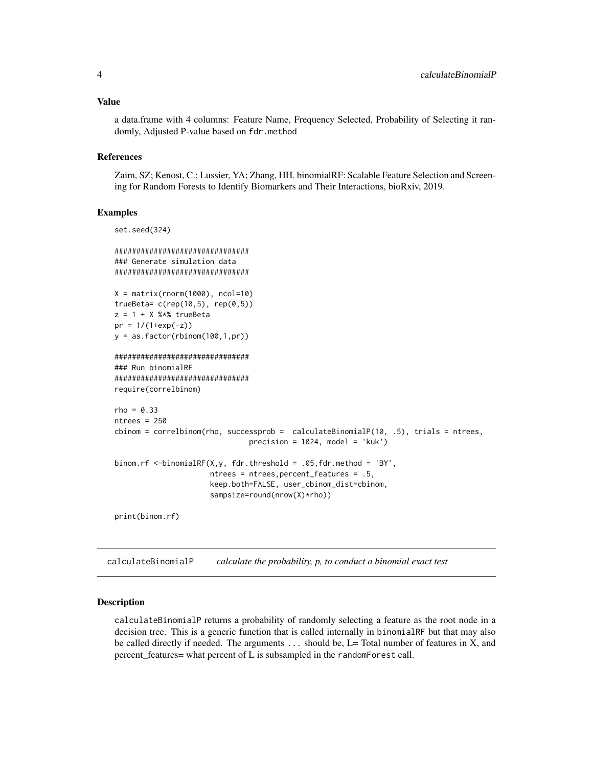#### <span id="page-3-0"></span>Value

a data.frame with 4 columns: Feature Name, Frequency Selected, Probability of Selecting it randomly, Adjusted P-value based on fdr.method

#### References

Zaim, SZ; Kenost, C.; Lussier, YA; Zhang, HH. binomialRF: Scalable Feature Selection and Screening for Random Forests to Identify Biomarkers and Their Interactions, bioRxiv, 2019.

#### Examples

```
set.seed(324)
###############################
### Generate simulation data
###############################
X = matrix(rnorm(1000), ncol=10)trueBeta= c(rep(10,5), rep(0,5))
z = 1 + X %*% trueBeta
pr = 1/(1+exp(-z))y = as.factor(rbinom{100,1,pr})###############################
### Run binomialRF
###############################
require(correlbinom)
rho = 0.33ntrees = 250
cbinom = correlbinom(rho, successprob = calculateBinomialP(10, .5), trials = ntrees,
                               precision = 1024, model = 'kuk')binom.rf <-binomialRF(X,y, fdr.threshold = .05,fdr.method = 'BY',
                      ntrees = ntrees,percent_features = .5,
                      keep.both=FALSE, user_cbinom_dist=cbinom,
                      sampsize=round(nrow(X)*rho))
print(binom.rf)
```
calculateBinomialP *calculate the probability, p, to conduct a binomial exact test*

#### Description

calculateBinomialP returns a probability of randomly selecting a feature as the root node in a decision tree. This is a generic function that is called internally in binomialRF but that may also be called directly if needed. The arguments ... should be, L= Total number of features in X, and percent\_features= what percent of L is subsampled in the randomForest call.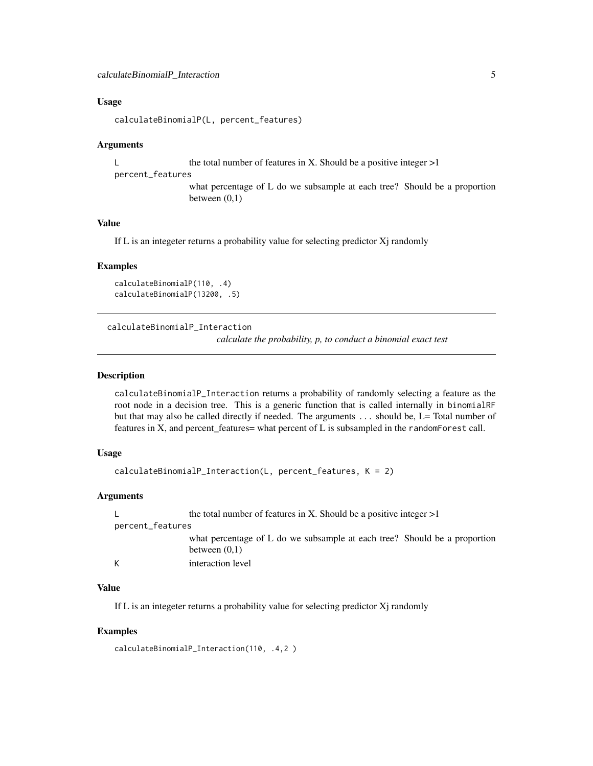#### <span id="page-4-0"></span>Usage

calculateBinomialP(L, percent\_features)

#### Arguments

L the total number of features in X. Should be a positive integer  $>1$ 

#### percent\_features

what percentage of L do we subsample at each tree? Should be a proportion between (0,1)

#### Value

If L is an integeter returns a probability value for selecting predictor Xj randomly

#### Examples

```
calculateBinomialP(110, .4)
calculateBinomialP(13200, .5)
```
calculateBinomialP\_Interaction

*calculate the probability, p, to conduct a binomial exact test*

#### Description

calculateBinomialP\_Interaction returns a probability of randomly selecting a feature as the root node in a decision tree. This is a generic function that is called internally in binomialRF but that may also be called directly if needed. The arguments ... should be, L= Total number of features in X, and percent\_features= what percent of L is subsampled in the randomForest call.

#### Usage

```
calculateBinomialP_Interaction(L, percent_features, K = 2)
```
#### Arguments

L the total number of features in X. Should be a positive integer  $>1$ percent\_features what percentage of L do we subsample at each tree? Should be a proportion between (0,1) K interaction level

#### Value

If L is an integeter returns a probability value for selecting predictor Xj randomly

#### Examples

```
calculateBinomialP_Interaction(110, .4,2 )
```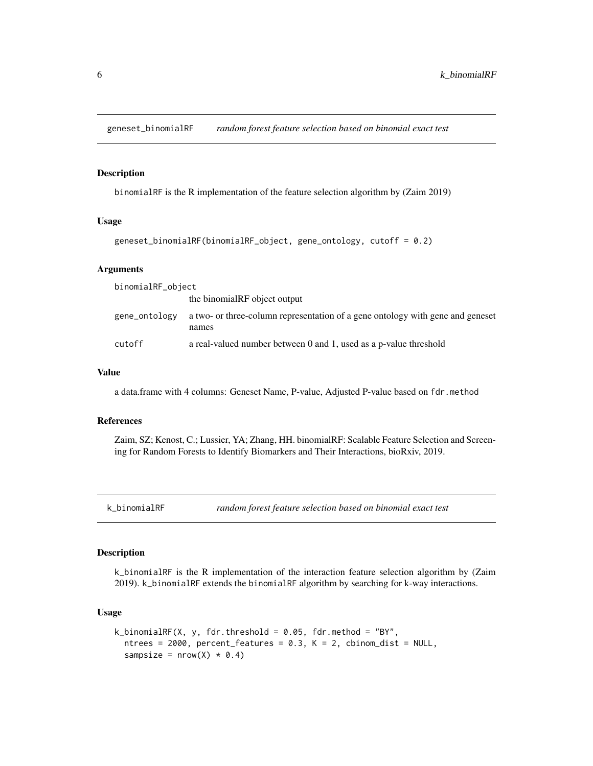<span id="page-5-0"></span>geneset\_binomialRF *random forest feature selection based on binomial exact test*

#### Description

binomialRF is the R implementation of the feature selection algorithm by (Zaim 2019)

#### Usage

```
geneset_binomialRF(binomialRF_object, gene_ontology, cutoff = 0.2)
```
#### Arguments

binomialRF\_object

|               | the binomialRF object output                                                            |
|---------------|-----------------------------------------------------------------------------------------|
| gene_ontology | a two- or three-column representation of a gene ontology with gene and geneset<br>names |
| cutoff        | a real-valued number between 0 and 1, used as a p-value threshold                       |

#### Value

a data.frame with 4 columns: Geneset Name, P-value, Adjusted P-value based on fdr.method

#### References

Zaim, SZ; Kenost, C.; Lussier, YA; Zhang, HH. binomialRF: Scalable Feature Selection and Screening for Random Forests to Identify Biomarkers and Their Interactions, bioRxiv, 2019.

#### Description

k\_binomialRF is the R implementation of the interaction feature selection algorithm by (Zaim 2019). k\_binomialRF extends the binomialRF algorithm by searching for k-way interactions.

#### Usage

```
k_binomialRF(X, y, fdr.threshold = 0.05, fdr.method = "BY",
  ntrees = 2000, percent_features = 0.3, K = 2, cbinom_dist = NULL,
  sampsize = nrow(X) * 0.4
```
k\_binomialRF *random forest feature selection based on binomial exact test*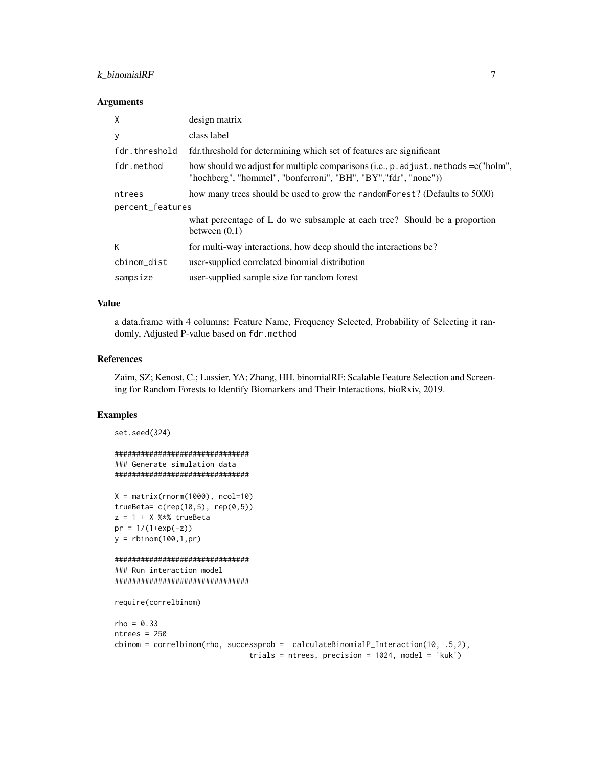#### k\_binomialRF 7

#### **Arguments**

| X                | design matrix                                                                                                                                              |  |
|------------------|------------------------------------------------------------------------------------------------------------------------------------------------------------|--|
| У                | class label                                                                                                                                                |  |
| fdr.threshold    | fdr.threshold for determining which set of features are significant                                                                                        |  |
| fdr.method       | how should we adjust for multiple comparisons (i.e., $p$ . adjust methods = $c("holm",$<br>"hochberg", "hommel", "bonferroni", "BH", "BY", "fdr", "none")) |  |
| ntrees           | how many trees should be used to grow the random Forest? (Defaults to 5000)                                                                                |  |
| percent_features |                                                                                                                                                            |  |
|                  | what percentage of L do we subsample at each tree? Should be a proportion<br>between $(0,1)$                                                               |  |
| К                | for multi-way interactions, how deep should the interactions be?                                                                                           |  |
| cbinom_dist      | user-supplied correlated binomial distribution                                                                                                             |  |
| sampsize         | user-supplied sample size for random forest                                                                                                                |  |

#### Value

a data.frame with 4 columns: Feature Name, Frequency Selected, Probability of Selecting it randomly, Adjusted P-value based on fdr.method

#### References

Zaim, SZ; Kenost, C.; Lussier, YA; Zhang, HH. binomialRF: Scalable Feature Selection and Screening for Random Forests to Identify Biomarkers and Their Interactions, bioRxiv, 2019.

#### Examples

```
set.seed(324)
###############################
### Generate simulation data
###############################
X = matrix(rnorm(1000), ncol=10)trueBeta= c(rep(10,5), rep(0,5))
z = 1 + X % * % trueBetapr = 1/(1+exp(-z))y = rbinom(100,1,pr)
###############################
### Run interaction model
###############################
require(correlbinom)
rho = 0.33ntrees = 250
cbinom = correlbinom(rho, successprob = calculateBinomialP_Interaction(10, .5,2),
                               trials = ntrees, precision = 1024, model = 'kuk')
```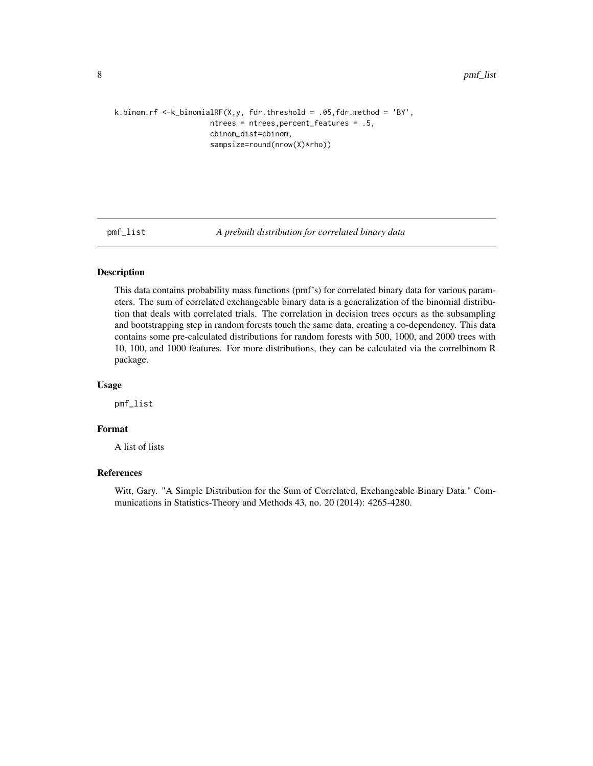```
k.binom.rf <-k_binomialRF(X,y, fdr.threshold = .05,fdr.method = 'BY',
                      ntrees = ntrees,percent_features = .5,
                      cbinom_dist=cbinom,
                      sampsize=round(nrow(X)*rho))
```
pmf\_list *A prebuilt distribution for correlated binary data*

#### Description

This data contains probability mass functions (pmf's) for correlated binary data for various parameters. The sum of correlated exchangeable binary data is a generalization of the binomial distribution that deals with correlated trials. The correlation in decision trees occurs as the subsampling and bootstrapping step in random forests touch the same data, creating a co-dependency. This data contains some pre-calculated distributions for random forests with 500, 1000, and 2000 trees with 10, 100, and 1000 features. For more distributions, they can be calculated via the correlbinom R package.

#### Usage

pmf\_list

#### Format

A list of lists

#### References

Witt, Gary. "A Simple Distribution for the Sum of Correlated, Exchangeable Binary Data." Communications in Statistics-Theory and Methods 43, no. 20 (2014): 4265-4280.